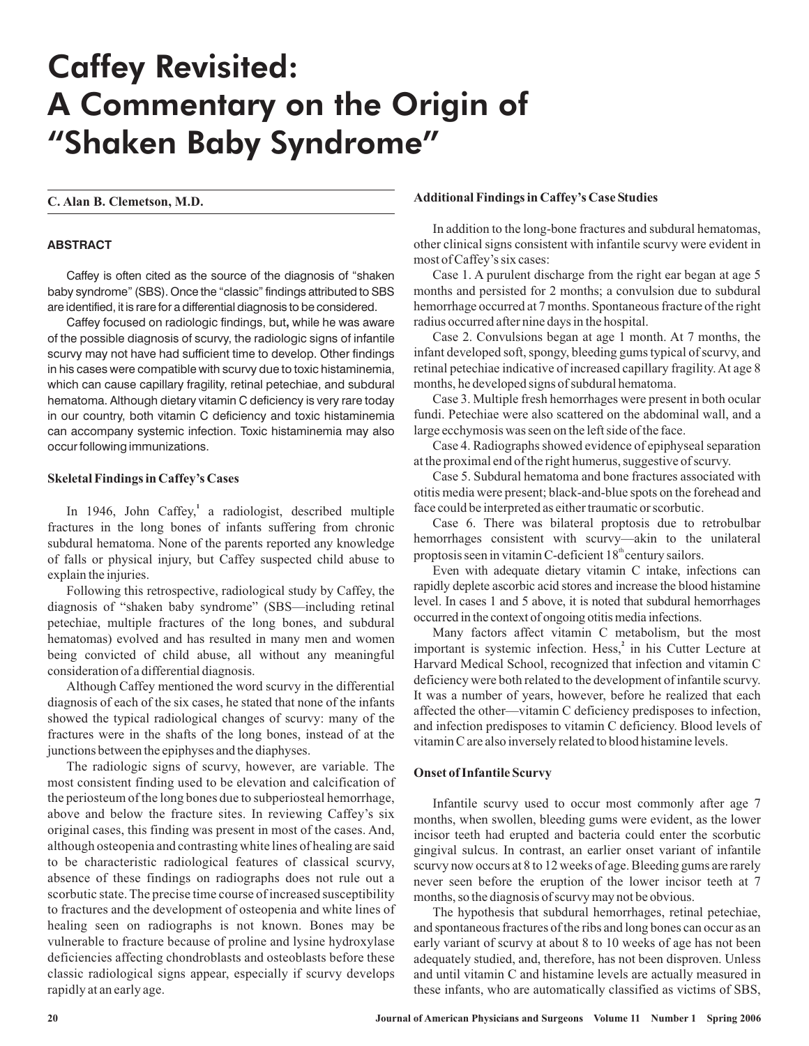# Caffey Revisited: A Commentary on the Origin of "Shaken Baby Syndrome"

## **ABSTRACT**

Caffey is often cited as the source of the diagnosis of "shaken baby syndrome" (SBS). Once the "classic" findings attributed to SBS are identified, it is rare for a differential diagnosis to be considered.

Caffey focused on radiologic findings, but, while he was aware of the possible diagnosis of scurvy, the radiologic signs of infantile scurvy may not have had sufficient time to develop. Other findings in his cases were compatible with scurvy due to toxic histaminemia, which can cause capillary fragility, retinal petechiae, and subdural hematoma. Although dietary vitamin C deficiency is very rare today in our country, both vitamin C deficiency and toxic histaminemia can accompany systemic infection. Toxic histaminemia may also occur following immunizations.

### **Skeletal Findings in Caffey's Cases**

In 1946, John Caffey,<sup>1</sup> a radiologist, described multiple fractures in the long bones of infants suffering from chronic subdural hematoma. None of the parents reported any knowledge of falls or physical injury, but Caffey suspected child abuse to explain the injuries.

Following this retrospective, radiological study by Caffey, the diagnosis of "shaken baby syndrome" (SBS—including retinal petechiae, multiple fractures of the long bones, and subdural hematomas) evolved and has resulted in many men and women being convicted of child abuse, all without any meaningful consideration of a differential diagnosis.

Although Caffey mentioned the word scurvy in the differential diagnosis of each of the six cases, he stated that none of the infants showed the typical radiological changes of scurvy: many of the fractures were in the shafts of the long bones, instead of at the junctions between the epiphyses and the diaphyses.

The radiologic signs of scurvy, however, are variable. The most consistent finding used to be elevation and calcification of the periosteum of the long bones due to subperiosteal hemorrhage, above and below the fracture sites. In reviewing Caffey's six original cases, this finding was present in most of the cases. And, although osteopenia and contrasting white lines of healing are said to be characteristic radiological features of classical scurvy, absence of these findings on radiographs does not rule out a scorbutic state. The precise time course of increased susceptibility to fractures and the development of osteopenia and white lines of healing seen on radiographs is not known. Bones may be vulnerable to fracture because of proline and lysine hydroxylase deficiencies affecting chondroblasts and osteoblasts before these classic radiological signs appear, especially if scurvy develops rapidly at an early age.

# **C. Alan B. Clemetson, M.D. Additional Findings in Caffey's Case Studies**

In addition to the long-bone fractures and subdural hematomas, other clinical signs consistent with infantile scurvy were evident in most of Caffey's six cases:

Case 1. A purulent discharge from the right ear began at age 5 months and persisted for 2 months; a convulsion due to subdural hemorrhage occurred at 7 months. Spontaneous fracture of the right radius occurred after nine days in the hospital.

Case 2. Convulsions began at age 1 month. At 7 months, the infant developed soft, spongy, bleeding gums typical of scurvy, and retinal petechiae indicative of increased capillary fragility. At age 8 months, he developed signs of subdural hematoma.

Case 3. Multiple fresh hemorrhages were present in both ocular fundi. Petechiae were also scattered on the abdominal wall, and a large ecchymosis was seen on the left side of the face.

Case 4. Radiographs showed evidence of epiphyseal separation at the proximal end of the right humerus, suggestive of scurvy.

Case 5. Subdural hematoma and bone fractures associated with otitis media were present; black-and-blue spots on the forehead and face could be interpreted as either traumatic or scorbutic.

Case 6. There was bilateral proptosis due to retrobulbar hemorrhages consistent with scurvy—akin to the unilateral proptosis seen in vitamin C-deficient 18<sup>th</sup> century sailors.

Even with adequate dietary vitamin C intake, infections can rapidly deplete ascorbic acid stores and increase the blood histamine level. In cases 1 and 5 above, it is noted that subdural hemorrhages occurred in the context of ongoing otitis media infections.

Many factors affect vitamin C metabolism, but the most important is systemic infection. Hess,<sup>2</sup> in his Cutter Lecture at Harvard Medical School, recognized that infection and vitamin C deficiency were both related to the development of infantile scurvy. It was a number of years, however, before he realized that each affected the other—vitamin C deficiency predisposes to infection, and infection predisposes to vitamin C deficiency. Blood levels of vitamin C are also inversely related to blood histamine levels.

#### **Onset of Infantile Scurvy**

Infantile scurvy used to occur most commonly after age 7 months, when swollen, bleeding gums were evident, as the lower incisor teeth had erupted and bacteria could enter the scorbutic gingival sulcus. In contrast, an earlier onset variant of infantile scurvy now occurs at 8 to 12 weeks of age. Bleeding gums are rarely never seen before the eruption of the lower incisor teeth at 7 months, so the diagnosis of scurvy may not be obvious.

The hypothesis that subdural hemorrhages, retinal petechiae, and spontaneous fractures of the ribs and long bones can occur as an early variant of scurvy at about 8 to 10 weeks of age has not been adequately studied, and, therefore, has not been disproven. Unless and until vitamin C and histamine levels are actually measured in these infants, who are automatically classified as victims of SBS,